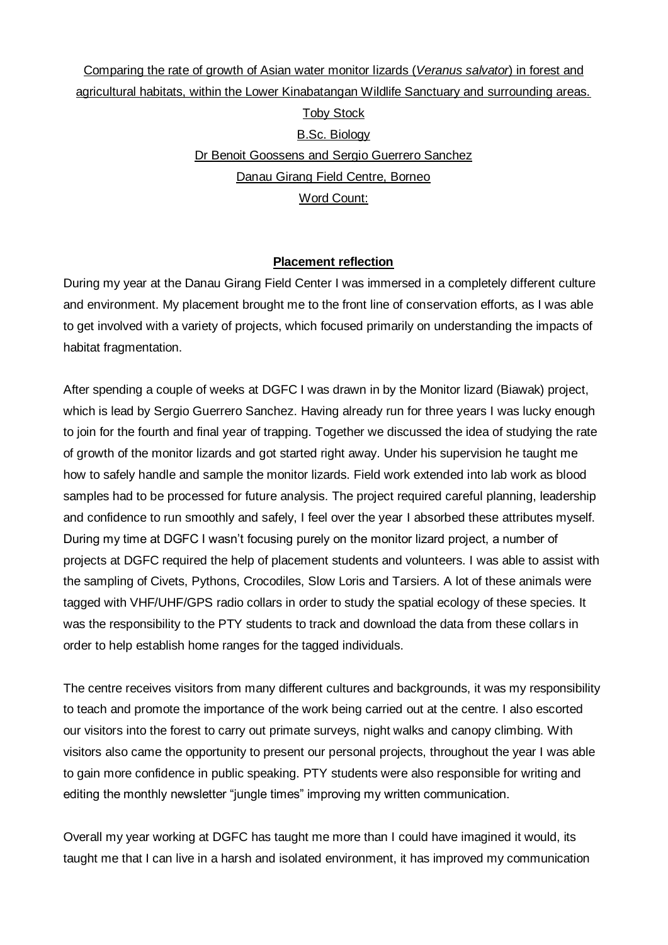# Comparing the rate of growth of Asian water monitor lizards (*Veranus salvator*) in forest and agricultural habitats, within the Lower Kinabatangan Wildlife Sanctuary and surrounding areas. Toby Stock B.Sc. Biology Dr Benoit Goossens and Sergio Guerrero Sanchez Danau Girang Field Centre, Borneo Word Count:

## **Placement reflection**

During my year at the Danau Girang Field Center I was immersed in a completely different culture and environment. My placement brought me to the front line of conservation efforts, as I was able to get involved with a variety of projects, which focused primarily on understanding the impacts of habitat fragmentation.

After spending a couple of weeks at DGFC I was drawn in by the Monitor lizard (Biawak) project, which is lead by Sergio Guerrero Sanchez. Having already run for three years I was lucky enough to join for the fourth and final year of trapping. Together we discussed the idea of studying the rate of growth of the monitor lizards and got started right away. Under his supervision he taught me how to safely handle and sample the monitor lizards. Field work extended into lab work as blood samples had to be processed for future analysis. The project required careful planning, leadership and confidence to run smoothly and safely, I feel over the year I absorbed these attributes myself. During my time at DGFC I wasn't focusing purely on the monitor lizard project, a number of projects at DGFC required the help of placement students and volunteers. I was able to assist with the sampling of Civets, Pythons, Crocodiles, Slow Loris and Tarsiers. A lot of these animals were tagged with VHF/UHF/GPS radio collars in order to study the spatial ecology of these species. It was the responsibility to the PTY students to track and download the data from these collars in order to help establish home ranges for the tagged individuals.

The centre receives visitors from many different cultures and backgrounds, it was my responsibility to teach and promote the importance of the work being carried out at the centre. I also escorted our visitors into the forest to carry out primate surveys, night walks and canopy climbing. With visitors also came the opportunity to present our personal projects, throughout the year I was able to gain more confidence in public speaking. PTY students were also responsible for writing and editing the monthly newsletter "jungle times" improving my written communication.

Overall my year working at DGFC has taught me more than I could have imagined it would, its taught me that I can live in a harsh and isolated environment, it has improved my communication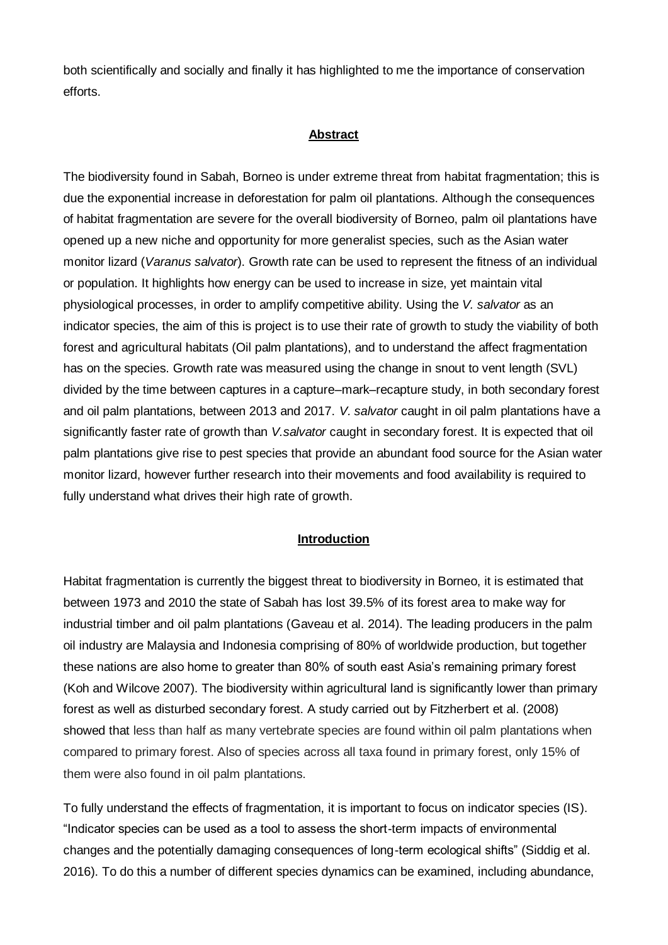both scientifically and socially and finally it has highlighted to me the importance of conservation efforts.

## **Abstract**

The biodiversity found in Sabah, Borneo is under extreme threat from habitat fragmentation; this is due the exponential increase in deforestation for palm oil plantations. Although the consequences of habitat fragmentation are severe for the overall biodiversity of Borneo, palm oil plantations have opened up a new niche and opportunity for more generalist species, such as the Asian water monitor lizard (*Varanus salvator*). Growth rate can be used to represent the fitness of an individual or population. It highlights how energy can be used to increase in size, yet maintain vital physiological processes, in order to amplify competitive ability. Using the *V. salvator* as an indicator species, the aim of this is project is to use their rate of growth to study the viability of both forest and agricultural habitats (Oil palm plantations), and to understand the affect fragmentation has on the species. Growth rate was measured using the change in snout to vent length (SVL) divided by the time between captures in a capture–mark–recapture study, in both secondary forest and oil palm plantations, between 2013 and 2017. *V. salvator* caught in oil palm plantations have a significantly faster rate of growth than *V.salvator* caught in secondary forest. It is expected that oil palm plantations give rise to pest species that provide an abundant food source for the Asian water monitor lizard, however further research into their movements and food availability is required to fully understand what drives their high rate of growth.

#### **Introduction**

Habitat fragmentation is currently the biggest threat to biodiversity in Borneo, it is estimated that between 1973 and 2010 the state of Sabah has lost 39.5% of its forest area to make way for industrial timber and oil palm plantations (Gaveau et al. 2014). The leading producers in the palm oil industry are Malaysia and Indonesia comprising of 80% of worldwide production, but together these nations are also home to greater than 80% of south east Asia's remaining primary forest (Koh and Wilcove 2007). The biodiversity within agricultural land is significantly lower than primary forest as well as disturbed secondary forest. A study carried out by Fitzherbert et al. (2008) showed that less than half as many vertebrate species are found within oil palm plantations when compared to primary forest. Also of species across all taxa found in primary forest, only 15% of them were also found in oil palm plantations.

To fully understand the effects of fragmentation, it is important to focus on indicator species (IS). "Indicator species can be used as a tool to assess the short-term impacts of environmental changes and the potentially damaging consequences of long-term ecological shifts" (Siddig et al. 2016). To do this a number of different species dynamics can be examined, including abundance,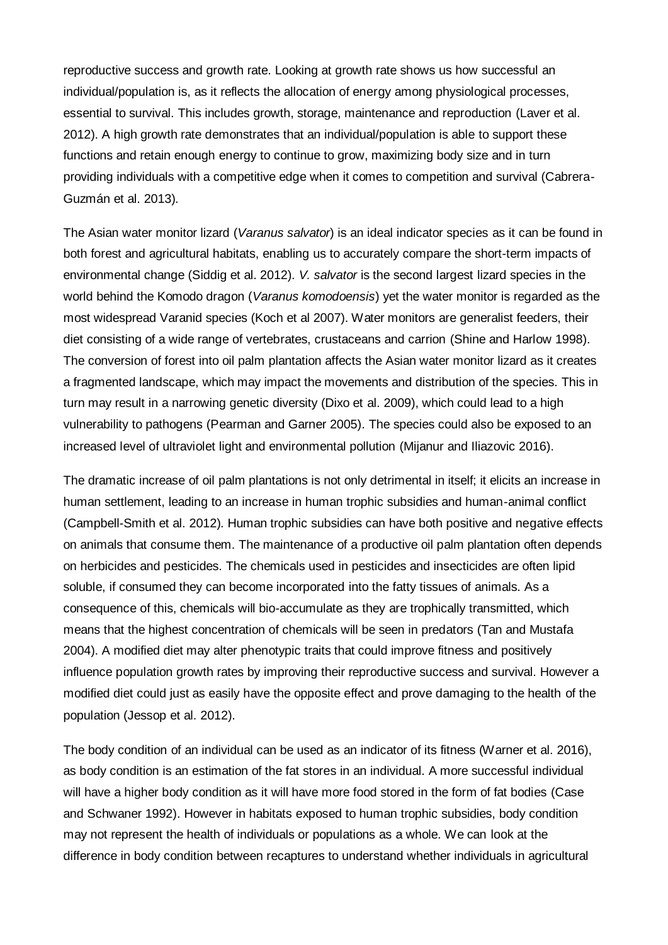reproductive success and growth rate. Looking at growth rate shows us how successful an individual/population is, as it reflects the allocation of energy among physiological processes, essential to survival. This includes growth, storage, maintenance and reproduction (Laver et al. 2012). A high growth rate demonstrates that an individual/population is able to support these functions and retain enough energy to continue to grow, maximizing body size and in turn providing individuals with a competitive edge when it comes to competition and survival (Cabrera-Guzmán et al. 2013).

The Asian water monitor lizard (*Varanus salvator*) is an ideal indicator species as it can be found in both forest and agricultural habitats, enabling us to accurately compare the short-term impacts of environmental change (Siddig et al. 2012). *V. salvator* is the second largest lizard species in the world behind the Komodo dragon (*Varanus komodoensis*) yet the water monitor is regarded as the most widespread Varanid species (Koch et al 2007). Water monitors are generalist feeders, their diet consisting of a wide range of vertebrates, crustaceans and carrion (Shine and Harlow 1998). The conversion of forest into oil palm plantation affects the Asian water monitor lizard as it creates a fragmented landscape, which may impact the movements and distribution of the species. This in turn may result in a narrowing genetic diversity (Dixo et al. 2009), which could lead to a high vulnerability to pathogens (Pearman and Garner 2005). The species could also be exposed to an increased level of ultraviolet light and environmental pollution (Mijanur and Iliazovic 2016).

The dramatic increase of oil palm plantations is not only detrimental in itself; it elicits an increase in human settlement, leading to an increase in human trophic subsidies and human-animal conflict (Campbell-Smith et al. 2012). Human trophic subsidies can have both positive and negative effects on animals that consume them. The maintenance of a productive oil palm plantation often depends on herbicides and pesticides. The chemicals used in pesticides and insecticides are often lipid soluble, if consumed they can become incorporated into the fatty tissues of animals. As a consequence of this, chemicals will bio-accumulate as they are trophically transmitted, which means that the highest concentration of chemicals will be seen in predators (Tan and Mustafa 2004). A modified diet may alter phenotypic traits that could improve fitness and positively influence population growth rates by improving their reproductive success and survival. However a modified diet could just as easily have the opposite effect and prove damaging to the health of the population (Jessop et al. 2012).

The body condition of an individual can be used as an indicator of its fitness (Warner et al. 2016), as body condition is an estimation of the fat stores in an individual. A more successful individual will have a higher body condition as it will have more food stored in the form of fat bodies (Case and Schwaner 1992). However in habitats exposed to human trophic subsidies, body condition may not represent the health of individuals or populations as a whole. We can look at the difference in body condition between recaptures to understand whether individuals in agricultural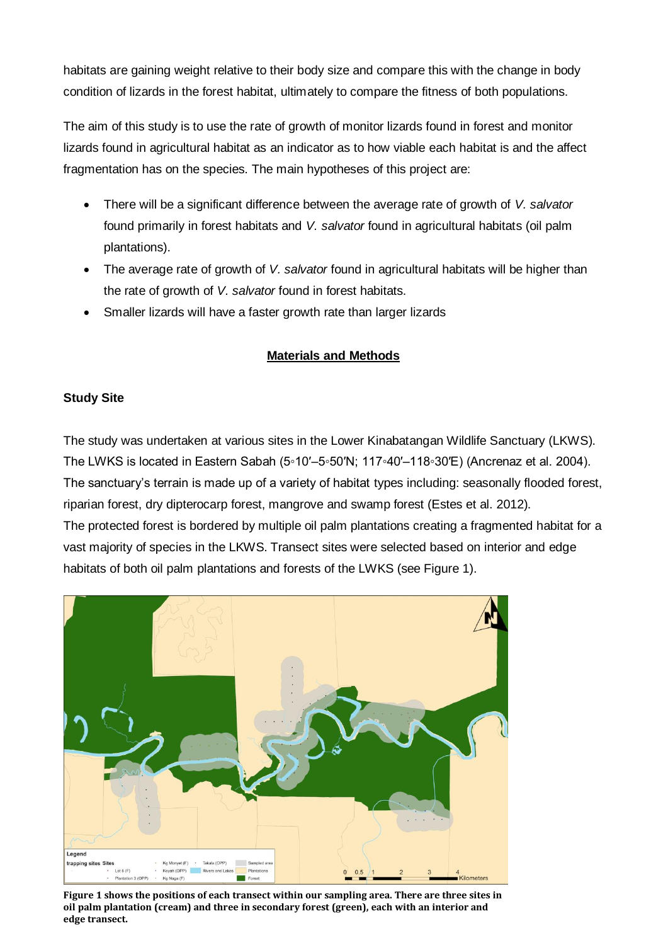habitats are gaining weight relative to their body size and compare this with the change in body condition of lizards in the forest habitat, ultimately to compare the fitness of both populations.

The aim of this study is to use the rate of growth of monitor lizards found in forest and monitor lizards found in agricultural habitat as an indicator as to how viable each habitat is and the affect fragmentation has on the species. The main hypotheses of this project are:

- There will be a significant difference between the average rate of growth of *V. salvator* found primarily in forest habitats and *V. salvator* found in agricultural habitats (oil palm plantations).
- The average rate of growth of *V. salvator* found in agricultural habitats will be higher than the rate of growth of *V. salvator* found in forest habitats.
- Smaller lizards will have a faster growth rate than larger lizards

# **Materials and Methods**

# **Study Site**

The study was undertaken at various sites in the Lower Kinabatangan Wildlife Sanctuary (LKWS). The LWKS is located in Eastern Sabah (5◦10′–5◦50′N; 117◦40′–118◦30′E) (Ancrenaz et al. 2004). The sanctuary's terrain is made up of a variety of habitat types including: seasonally flooded forest, riparian forest, dry dipterocarp forest, mangrove and swamp forest (Estes et al. 2012). The protected forest is bordered by multiple oil palm plantations creating a fragmented habitat for a vast majority of species in the LKWS. Transect sites were selected based on interior and edge habitats of both oil palm plantations and forests of the LWKS (see Figure 1).



**Figure 1 shows the positions of each transect within our sampling area. There are three sites in oil palm plantation (cream) and three in secondary forest (green), each with an interior and edge transect.**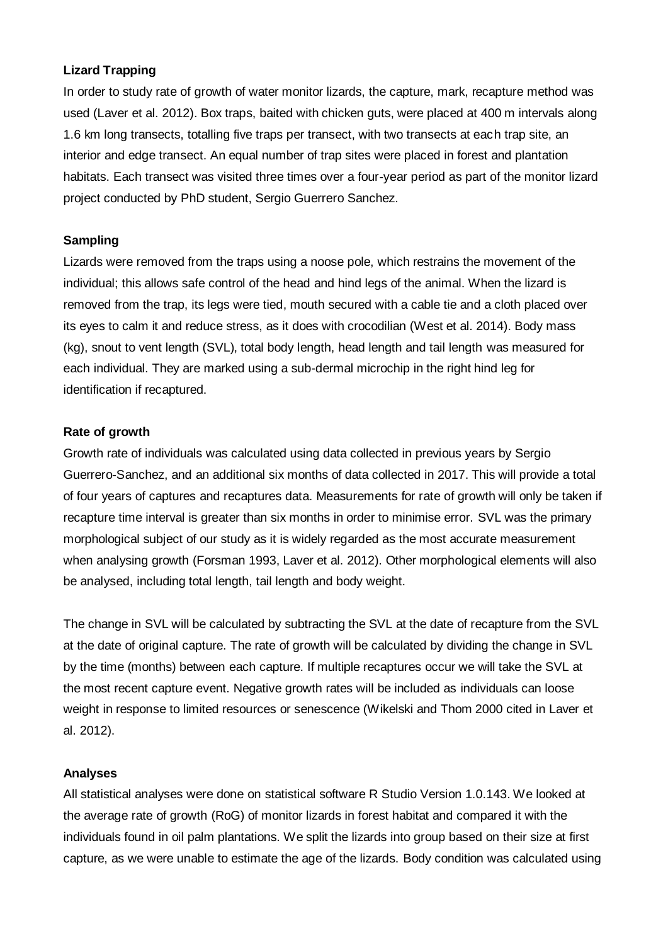#### **Lizard Trapping**

In order to study rate of growth of water monitor lizards, the capture, mark, recapture method was used (Laver et al. 2012). Box traps, baited with chicken guts, were placed at 400 m intervals along 1.6 km long transects, totalling five traps per transect, with two transects at each trap site, an interior and edge transect. An equal number of trap sites were placed in forest and plantation habitats. Each transect was visited three times over a four-year period as part of the monitor lizard project conducted by PhD student, Sergio Guerrero Sanchez.

## **Sampling**

Lizards were removed from the traps using a noose pole, which restrains the movement of the individual; this allows safe control of the head and hind legs of the animal. When the lizard is removed from the trap, its legs were tied, mouth secured with a cable tie and a cloth placed over its eyes to calm it and reduce stress, as it does with crocodilian (West et al. 2014). Body mass (kg), snout to vent length (SVL), total body length, head length and tail length was measured for each individual. They are marked using a sub-dermal microchip in the right hind leg for identification if recaptured.

#### **Rate of growth**

Growth rate of individuals was calculated using data collected in previous years by Sergio Guerrero-Sanchez, and an additional six months of data collected in 2017. This will provide a total of four years of captures and recaptures data. Measurements for rate of growth will only be taken if recapture time interval is greater than six months in order to minimise error. SVL was the primary morphological subject of our study as it is widely regarded as the most accurate measurement when analysing growth (Forsman 1993, Laver et al. 2012). Other morphological elements will also be analysed, including total length, tail length and body weight.

The change in SVL will be calculated by subtracting the SVL at the date of recapture from the SVL at the date of original capture. The rate of growth will be calculated by dividing the change in SVL by the time (months) between each capture. If multiple recaptures occur we will take the SVL at the most recent capture event. Negative growth rates will be included as individuals can loose weight in response to limited resources or senescence (Wikelski and Thom 2000 cited in Laver et al. 2012).

#### **Analyses**

All statistical analyses were done on statistical software R Studio Version 1.0.143. We looked at the average rate of growth (RoG) of monitor lizards in forest habitat and compared it with the individuals found in oil palm plantations. We split the lizards into group based on their size at first capture, as we were unable to estimate the age of the lizards. Body condition was calculated using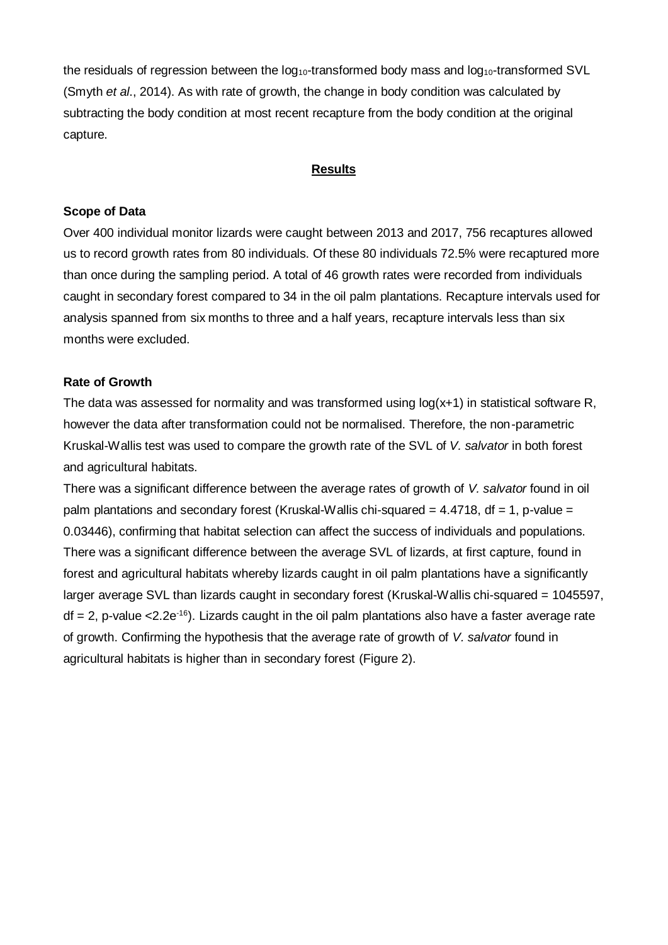the residuals of regression between the  $log_{10}$ -transformed body mass and  $log_{10}$ -transformed SVL (Smyth *et al*., 2014). As with rate of growth, the change in body condition was calculated by subtracting the body condition at most recent recapture from the body condition at the original capture.

#### **Results**

#### **Scope of Data**

Over 400 individual monitor lizards were caught between 2013 and 2017, 756 recaptures allowed us to record growth rates from 80 individuals. Of these 80 individuals 72.5% were recaptured more than once during the sampling period. A total of 46 growth rates were recorded from individuals caught in secondary forest compared to 34 in the oil palm plantations. Recapture intervals used for analysis spanned from six months to three and a half years, recapture intervals less than six months were excluded.

#### **Rate of Growth**

The data was assessed for normality and was transformed using log(x+1) in statistical software R, however the data after transformation could not be normalised. Therefore, the non-parametric Kruskal-Wallis test was used to compare the growth rate of the SVL of *V. salvator* in both forest and agricultural habitats.

There was a significant difference between the average rates of growth of *V. salvator* found in oil palm plantations and secondary forest (Kruskal-Wallis chi-squared  $= 4.4718$ , df  $= 1$ , p-value  $=$ 0.03446), confirming that habitat selection can affect the success of individuals and populations. There was a significant difference between the average SVL of lizards, at first capture, found in forest and agricultural habitats whereby lizards caught in oil palm plantations have a significantly larger average SVL than lizards caught in secondary forest (Kruskal-Wallis chi-squared = 1045597,  $df = 2$ , p-value <2.2e<sup>-16</sup>). Lizards caught in the oil palm plantations also have a faster average rate of growth. Confirming the hypothesis that the average rate of growth of *V. salvator* found in agricultural habitats is higher than in secondary forest (Figure 2).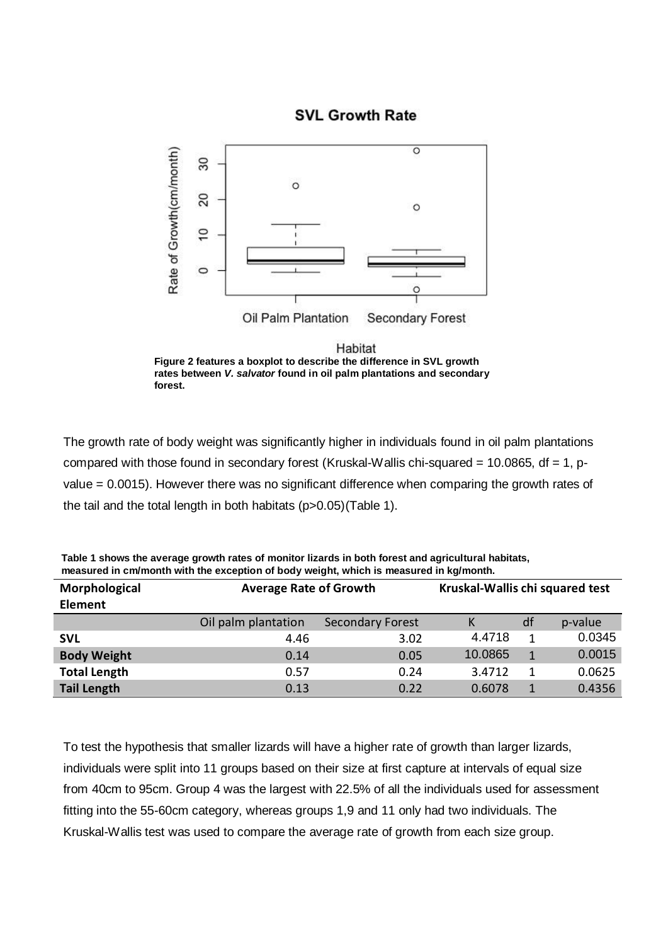## **SVL Growth Rate**



**Figure 2 features a boxplot to describe the difference in SVL growth rates between** *V. salvator* **found in oil palm plantations and secondary forest.**

The growth rate of body weight was significantly higher in individuals found in oil palm plantations compared with those found in secondary forest (Kruskal-Wallis chi-squared = 10.0865, df = 1, pvalue = 0.0015). However there was no significant difference when comparing the growth rates of the tail and the total length in both habitats (p>0.05)(Table 1).

| Morphological       | <b>Average Rate of Growth</b> |                         | Kruskal-Wallis chi squared test |    |         |
|---------------------|-------------------------------|-------------------------|---------------------------------|----|---------|
| Element             |                               |                         |                                 |    |         |
|                     | Oil palm plantation           | <b>Secondary Forest</b> | κ                               | df | p-value |
| <b>SVL</b>          | 4.46                          | 3.02                    | 4.4718                          | 1  | 0.0345  |
| <b>Body Weight</b>  | 0.14                          | 0.05                    | 10.0865                         | 1  | 0.0015  |
| <b>Total Length</b> | 0.57                          | 0.24                    | 3.4712                          |    | 0.0625  |
| <b>Tail Length</b>  | 0.13                          | 0.22                    | 0.6078                          |    | 0.4356  |

| Table 1 shows the average growth rates of monitor lizards in both forest and agricultural habitats, |
|-----------------------------------------------------------------------------------------------------|
| measured in cm/month with the exception of body weight, which is measured in kg/month.              |

To test the hypothesis that smaller lizards will have a higher rate of growth than larger lizards, individuals were split into 11 groups based on their size at first capture at intervals of equal size from 40cm to 95cm. Group 4 was the largest with 22.5% of all the individuals used for assessment fitting into the 55-60cm category, whereas groups 1,9 and 11 only had two individuals. The Kruskal-Wallis test was used to compare the average rate of growth from each size group.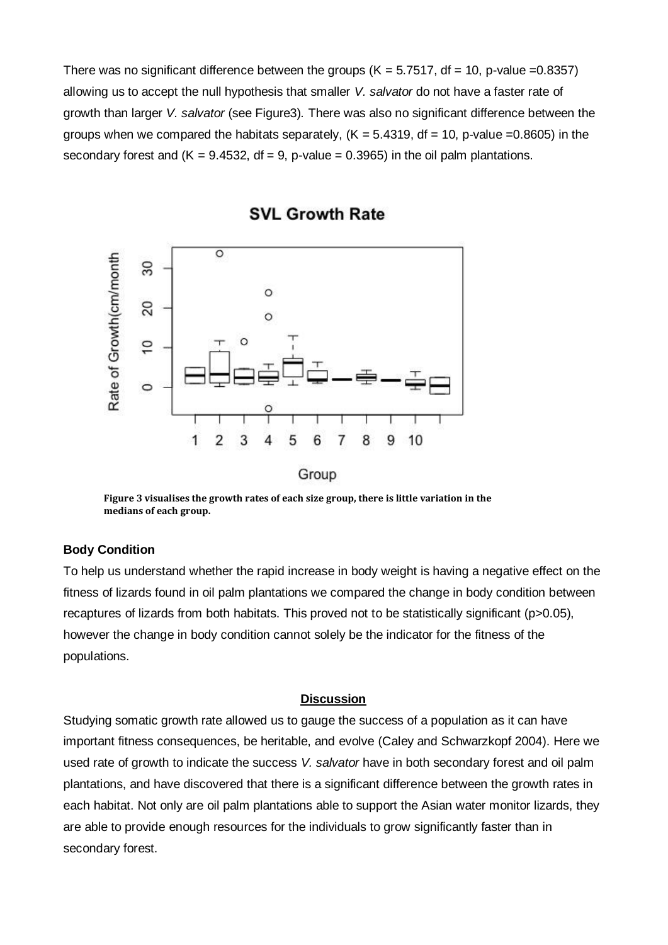There was no significant difference between the groups ( $K = 5.7517$ , df = 10, p-value =0.8357) allowing us to accept the null hypothesis that smaller *V. salvator* do not have a faster rate of growth than larger *V. salvator* (see Figure3)*.* There was also no significant difference between the groups when we compared the habitats separately,  $(K = 5.4319, df = 10, p-value = 0.8605)$  in the secondary forest and  $(K = 9.4532, df = 9, p-value = 0.3965)$  in the oil palm plantations.



**SVL Growth Rate** 

**Figure 3 visualises the growth rates of each size group, there is little variation in the medians of each group.**

### **Body Condition**

To help us understand whether the rapid increase in body weight is having a negative effect on the fitness of lizards found in oil palm plantations we compared the change in body condition between recaptures of lizards from both habitats. This proved not to be statistically significant (p>0.05), however the change in body condition cannot solely be the indicator for the fitness of the populations.

#### **Discussion**

Studying somatic growth rate allowed us to gauge the success of a population as it can have important fitness consequences, be heritable, and evolve (Caley and Schwarzkopf 2004). Here we used rate of growth to indicate the success *V. salvator* have in both secondary forest and oil palm plantations, and have discovered that there is a significant difference between the growth rates in each habitat. Not only are oil palm plantations able to support the Asian water monitor lizards, they are able to provide enough resources for the individuals to grow significantly faster than in secondary forest.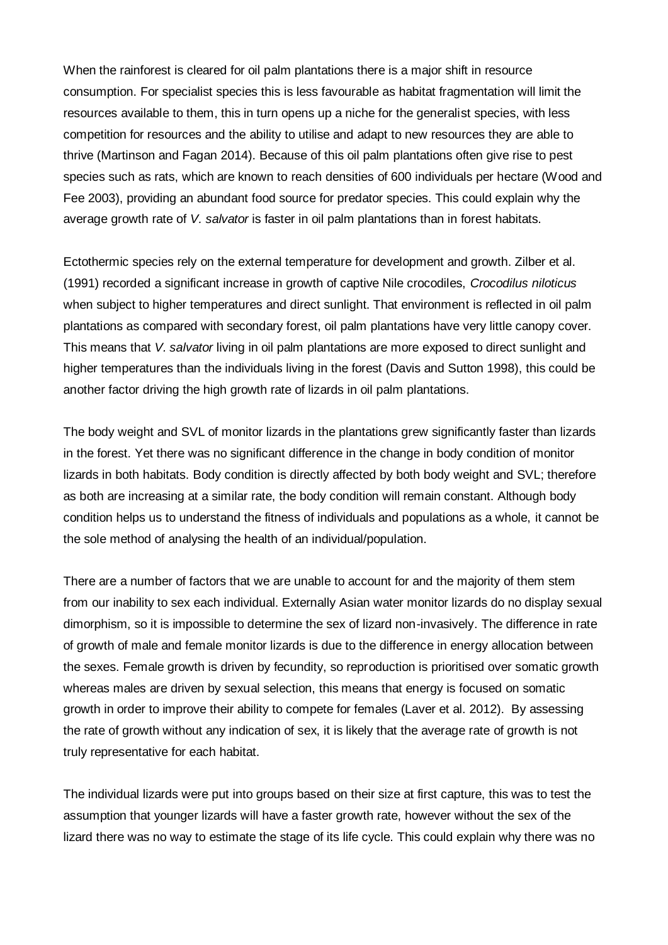When the rainforest is cleared for oil palm plantations there is a major shift in resource consumption. For specialist species this is less favourable as habitat fragmentation will limit the resources available to them, this in turn opens up a niche for the generalist species, with less competition for resources and the ability to utilise and adapt to new resources they are able to thrive (Martinson and Fagan 2014). Because of this oil palm plantations often give rise to pest species such as rats, which are known to reach densities of 600 individuals per hectare (Wood and Fee 2003), providing an abundant food source for predator species. This could explain why the average growth rate of *V. salvator* is faster in oil palm plantations than in forest habitats.

Ectothermic species rely on the external temperature for development and growth. Zilber et al. (1991) recorded a significant increase in growth of captive Nile crocodiles, *Crocodilus niloticus* when subject to higher temperatures and direct sunlight. That environment is reflected in oil palm plantations as compared with secondary forest, oil palm plantations have very little canopy cover. This means that *V. salvator* living in oil palm plantations are more exposed to direct sunlight and higher temperatures than the individuals living in the forest (Davis and Sutton 1998), this could be another factor driving the high growth rate of lizards in oil palm plantations.

The body weight and SVL of monitor lizards in the plantations grew significantly faster than lizards in the forest. Yet there was no significant difference in the change in body condition of monitor lizards in both habitats. Body condition is directly affected by both body weight and SVL; therefore as both are increasing at a similar rate, the body condition will remain constant. Although body condition helps us to understand the fitness of individuals and populations as a whole, it cannot be the sole method of analysing the health of an individual/population.

There are a number of factors that we are unable to account for and the majority of them stem from our inability to sex each individual. Externally Asian water monitor lizards do no display sexual dimorphism, so it is impossible to determine the sex of lizard non-invasively. The difference in rate of growth of male and female monitor lizards is due to the difference in energy allocation between the sexes. Female growth is driven by fecundity, so reproduction is prioritised over somatic growth whereas males are driven by sexual selection, this means that energy is focused on somatic growth in order to improve their ability to compete for females (Laver et al. 2012). By assessing the rate of growth without any indication of sex, it is likely that the average rate of growth is not truly representative for each habitat.

The individual lizards were put into groups based on their size at first capture, this was to test the assumption that younger lizards will have a faster growth rate, however without the sex of the lizard there was no way to estimate the stage of its life cycle. This could explain why there was no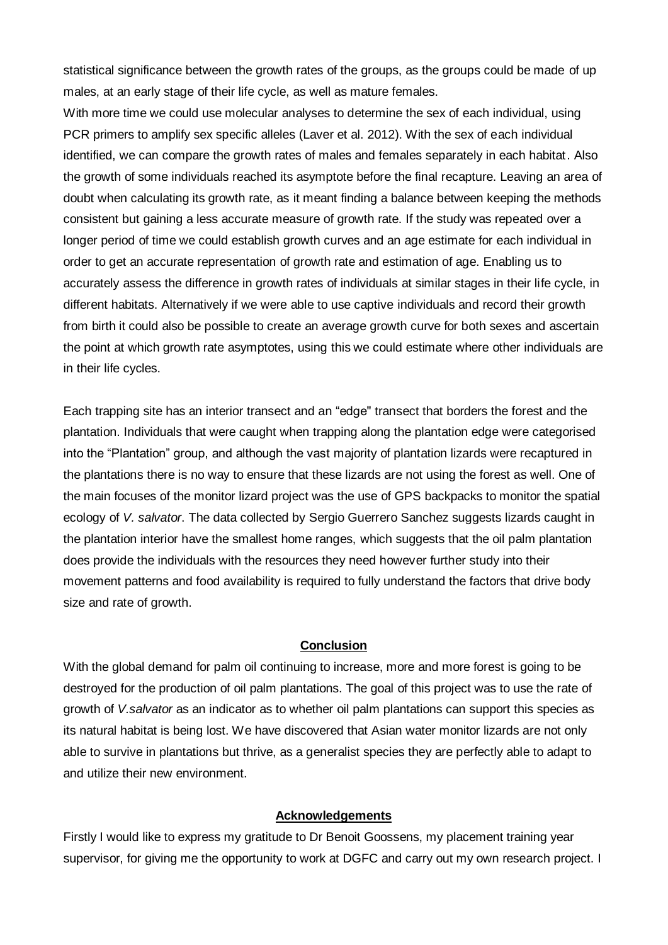statistical significance between the growth rates of the groups, as the groups could be made of up males, at an early stage of their life cycle, as well as mature females.

With more time we could use molecular analyses to determine the sex of each individual, using PCR primers to amplify sex specific alleles (Laver et al. 2012). With the sex of each individual identified, we can compare the growth rates of males and females separately in each habitat. Also the growth of some individuals reached its asymptote before the final recapture. Leaving an area of doubt when calculating its growth rate, as it meant finding a balance between keeping the methods consistent but gaining a less accurate measure of growth rate. If the study was repeated over a longer period of time we could establish growth curves and an age estimate for each individual in order to get an accurate representation of growth rate and estimation of age. Enabling us to accurately assess the difference in growth rates of individuals at similar stages in their life cycle, in different habitats. Alternatively if we were able to use captive individuals and record their growth from birth it could also be possible to create an average growth curve for both sexes and ascertain the point at which growth rate asymptotes, using this we could estimate where other individuals are in their life cycles.

Each trapping site has an interior transect and an "edge" transect that borders the forest and the plantation. Individuals that were caught when trapping along the plantation edge were categorised into the "Plantation" group, and although the vast majority of plantation lizards were recaptured in the plantations there is no way to ensure that these lizards are not using the forest as well. One of the main focuses of the monitor lizard project was the use of GPS backpacks to monitor the spatial ecology of *V. salvator*. The data collected by Sergio Guerrero Sanchez suggests lizards caught in the plantation interior have the smallest home ranges, which suggests that the oil palm plantation does provide the individuals with the resources they need however further study into their movement patterns and food availability is required to fully understand the factors that drive body size and rate of growth.

#### **Conclusion**

With the global demand for palm oil continuing to increase, more and more forest is going to be destroyed for the production of oil palm plantations. The goal of this project was to use the rate of growth of *V.salvator* as an indicator as to whether oil palm plantations can support this species as its natural habitat is being lost. We have discovered that Asian water monitor lizards are not only able to survive in plantations but thrive, as a generalist species they are perfectly able to adapt to and utilize their new environment.

#### **Acknowledgements**

Firstly I would like to express my gratitude to Dr Benoit Goossens, my placement training year supervisor, for giving me the opportunity to work at DGFC and carry out my own research project. I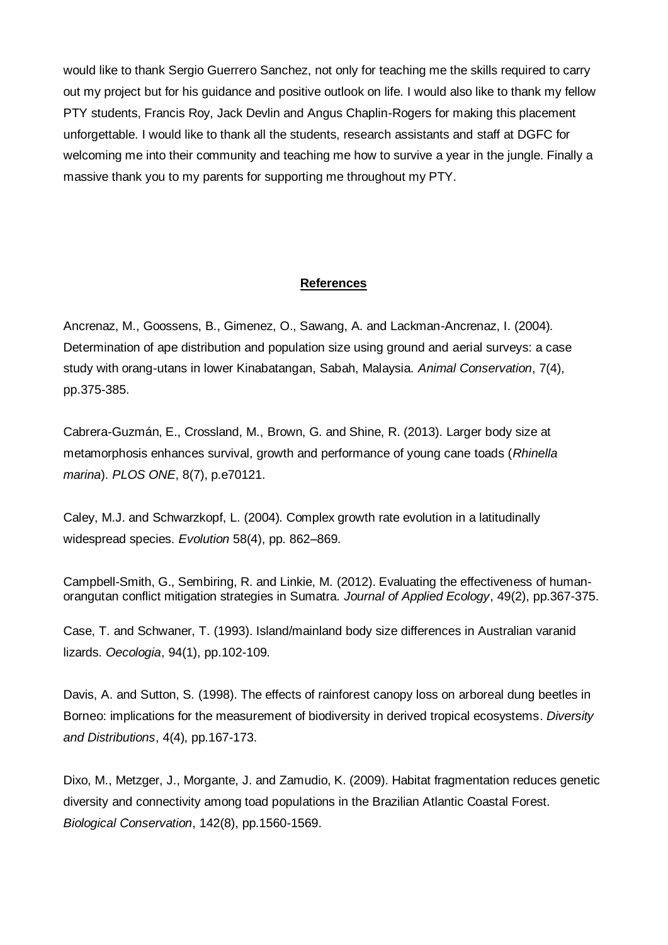would like to thank Sergio Guerrero Sanchez, not only for teaching me the skills required to carry out my project but for his guidance and positive outlook on life. I would also like to thank my fellow PTY students, Francis Roy, Jack Devlin and Angus Chaplin-Rogers for making this placement unforgettable. I would like to thank all the students, research assistants and staff at DGFC for welcoming me into their community and teaching me how to survive a year in the jungle. Finally a massive thank you to my parents for supporting me throughout my PTY.

#### **References**

Ancrenaz, M., Goossens, B., Gimenez, O., Sawang, A. and Lackman-Ancrenaz, I. (2004). Determination of ape distribution and population size using ground and aerial surveys: a case study with orang-utans in lower Kinabatangan, Sabah, Malaysia. *Animal Conservation*, 7(4), pp.375-385.

Cabrera-Guzmán, E., Crossland, M., Brown, G. and Shine, R. (2013). Larger body size at metamorphosis enhances survival, growth and performance of young cane toads (*Rhinella marina*). *PLOS ONE*, 8(7), p.e70121.

Caley, M.J. and Schwarzkopf, L. (2004). Complex growth rate evolution in a latitudinally widespread species. *Evolution* 58(4), pp. 862–869.

Campbell-Smith, G., Sembiring, R. and Linkie, M. (2012). Evaluating the effectiveness of humanorangutan conflict mitigation strategies in Sumatra. *Journal of Applied Ecology*, 49(2), pp.367-375.

Case, T. and Schwaner, T. (1993). Island/mainland body size differences in Australian varanid lizards. *Oecologia*, 94(1), pp.102-109.

Davis, A. and Sutton, S. (1998). The effects of rainforest canopy loss on arboreal dung beetles in Borneo: implications for the measurement of biodiversity in derived tropical ecosystems. *Diversity and Distributions*, 4(4), pp.167-173.

Dixo, M., Metzger, J., Morgante, J. and Zamudio, K. (2009). Habitat fragmentation reduces genetic diversity and connectivity among toad populations in the Brazilian Atlantic Coastal Forest. *Biological Conservation*, 142(8), pp.1560-1569.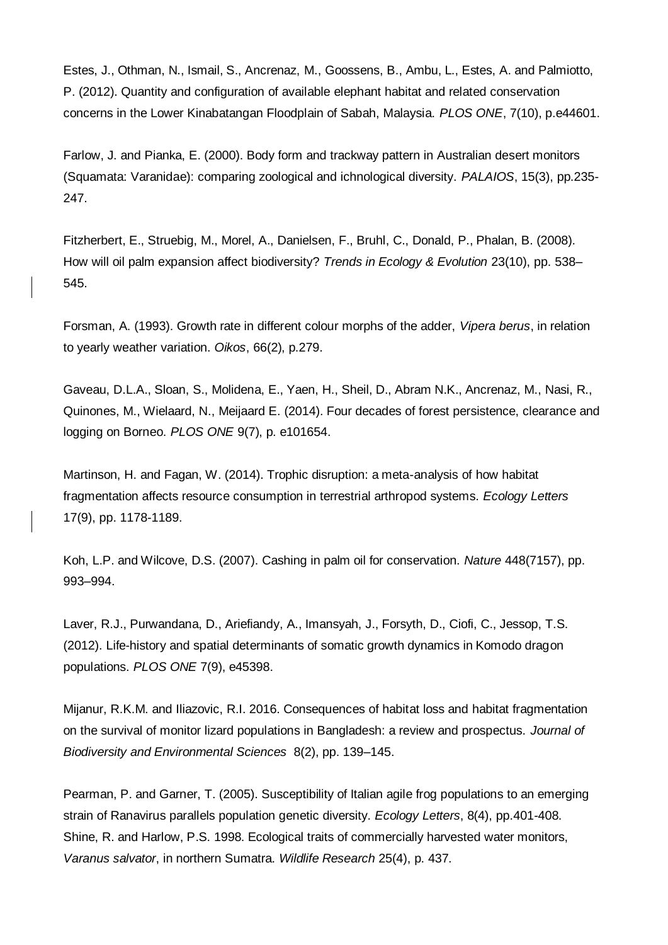Estes, J., Othman, N., Ismail, S., Ancrenaz, M., Goossens, B., Ambu, L., Estes, A. and Palmiotto, P. (2012). Quantity and configuration of available elephant habitat and related conservation concerns in the Lower Kinabatangan Floodplain of Sabah, Malaysia. *PLOS ONE*, 7(10), p.e44601.

Farlow, J. and Pianka, E. (2000). Body form and trackway pattern in Australian desert monitors (Squamata: Varanidae): comparing zoological and ichnological diversity. *PALAIOS*, 15(3), pp.235- 247.

Fitzherbert, E., Struebig, M., Morel, A., Danielsen, F., Bruhl, C., Donald, P., Phalan, B. (2008). How will oil palm expansion affect biodiversity? *Trends in Ecology & Evolution* 23(10), pp. 538– 545.

Forsman, A. (1993). Growth rate in different colour morphs of the adder, *Vipera berus*, in relation to yearly weather variation. *Oikos*, 66(2), p.279.

Gaveau, D.L.A., Sloan, S., Molidena, E., Yaen, H., Sheil, D., Abram N.K., Ancrenaz, M., Nasi, R., Quinones, M., Wielaard, N., Meijaard E. (2014). Four decades of forest persistence, clearance and logging on Borneo. *PLOS ONE* 9(7), p. e101654.

Martinson, H. and Fagan, W. (2014). Trophic disruption: a meta-analysis of how habitat fragmentation affects resource consumption in terrestrial arthropod systems. *Ecology Letters* 17(9), pp. 1178-1189.

Koh, L.P. and Wilcove, D.S. (2007). Cashing in palm oil for conservation. *Nature* 448(7157), pp. 993–994.

Laver, R.J., Purwandana, D., Ariefiandy, A., Imansyah, J., Forsyth, D., Ciofi, C., Jessop, T.S. (2012). Life-history and spatial determinants of somatic growth dynamics in Komodo dragon populations. *PLOS ONE* 7(9), e45398.

Mijanur, R.K.M. and Iliazovic, R.I. 2016. Consequences of habitat loss and habitat fragmentation on the survival of monitor lizard populations in Bangladesh: a review and prospectus. *Journal of Biodiversity and Environmental Sciences* 8(2), pp. 139–145.

Pearman, P. and Garner, T. (2005). Susceptibility of Italian agile frog populations to an emerging strain of Ranavirus parallels population genetic diversity. *Ecology Letters*, 8(4), pp.401-408. Shine, R. and Harlow, P.S. 1998. Ecological traits of commercially harvested water monitors, *Varanus salvator*, in northern Sumatra. *Wildlife Research* 25(4), p. 437.